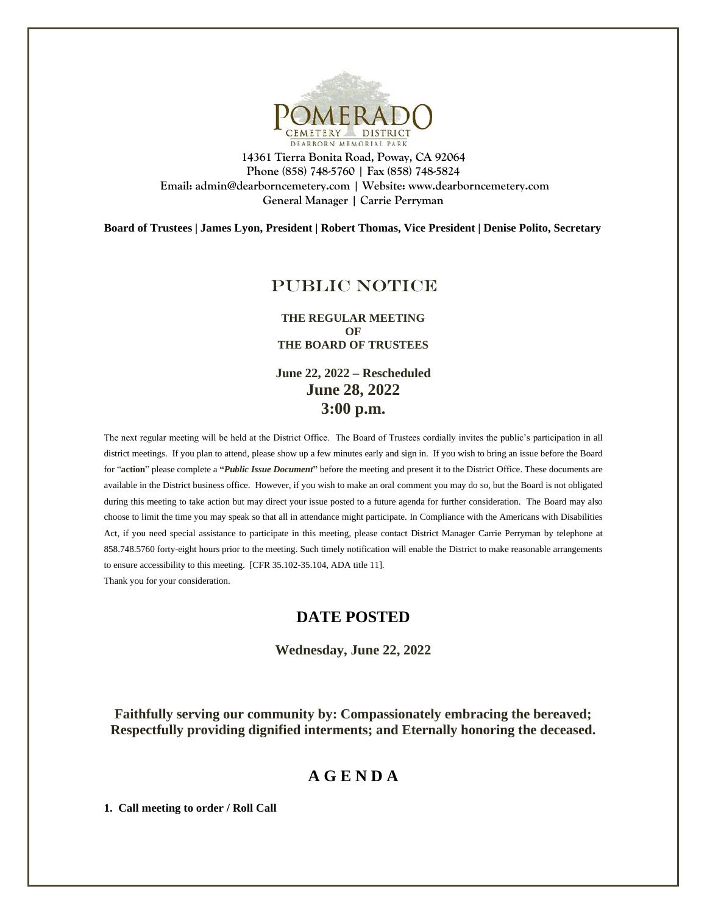

**14361 Tierra Bonita Road, Poway, CA 92064 Phone (858) 748-5760 | Fax (858) 748-5824 Email: admin@dearborncemetery.com | Website[: www.dearborncemetery.com](http://www.dearborncemetery.com/) General Manager | Carrie Perryman**

**Board of Trustees | James Lyon, President | Robert Thomas, Vice President | Denise Polito, Secretary**

# PUBLIC NOTICE

**THE REGULAR MEETING OF THE BOARD OF TRUSTEES**

**June 22, 2022 – Rescheduled June 28, 2022 3:00 p.m.**

The next regular meeting will be held at the District Office. The Board of Trustees cordially invites the public's participation in all district meetings. If you plan to attend, please show up a few minutes early and sign in. If you wish to bring an issue before the Board for "**action**" please complete a **"***Public Issue Document***"** before the meeting and present it to the District Office. These documents are available in the District business office. However, if you wish to make an oral comment you may do so, but the Board is not obligated during this meeting to take action but may direct your issue posted to a future agenda for further consideration. The Board may also choose to limit the time you may speak so that all in attendance might participate. In Compliance with the Americans with Disabilities Act, if you need special assistance to participate in this meeting, please contact District Manager Carrie Perryman by telephone at 858.748.5760 forty-eight hours prior to the meeting. Such timely notification will enable the District to make reasonable arrangements to ensure accessibility to this meeting. [CFR 35.102-35.104, ADA title 11]. Thank you for your consideration.

# **DATE POSTED**

**Wednesday, June 22, 2022**

**Faithfully serving our community by: Compassionately embracing the bereaved; Respectfully providing dignified interments; and Eternally honoring the deceased.**

# **A G E N D A**

**1. Call meeting to order / Roll Call**